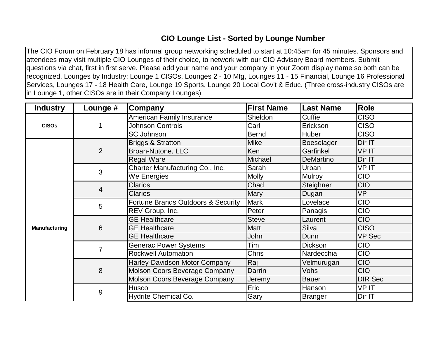## **CIO Lounge List - Sorted by Lounge Number**

The CIO Forum on February 18 has informal group networking scheduled to start at 10:45am for 45 minutes. Sponsors and attendees may visit multiple CIO Lounges of their choice, to network with our CIO Advisory Board members. Submit questions via chat, first in first serve. Please add your name and your company in your Zoom display name so both can be recognized. Lounges by Industry: Lounge 1 CISOs, Lounges 2 - 10 Mfg, Lounges 11 - 15 Financial, Lounge 16 Professional Services, Lounges 17 - 18 Health Care, Lounge 19 Sports, Lounge 20 Local Gov't & Educ. (Three cross-industry CISOs are in Lounge 1, other CISOs are in their Company Lounges)

| <b>Industry</b> | Lounge #       | Company                              | <b>First Name</b> | <b>Last Name</b> | <b>Role</b>    |
|-----------------|----------------|--------------------------------------|-------------------|------------------|----------------|
| <b>CISOs</b>    | 1              | <b>American Family Insurance</b>     | Sheldon           | Cuffie           | <b>CISO</b>    |
|                 |                | <b>Johnson Controls</b>              | Carl              | Erickson         | <b>CISO</b>    |
|                 |                | <b>SC Johnson</b>                    | <b>Bernd</b>      | Huber            | <b>CISO</b>    |
| Manufacturing   | $\overline{2}$ | <b>Briggs &amp; Stratton</b>         | <b>Mike</b>       | Boeselager       | Dir IT         |
|                 |                | Broan-Nutone, LLC                    | Ken               | Garfinkel        | <b>VPIT</b>    |
|                 |                | <b>Regal Ware</b>                    | Michael           | <b>DeMartino</b> | Dir IT         |
|                 | 3              | Charter Manufacturing Co., Inc.      | Sarah             | Urban            | VP IT          |
|                 |                | We Energies                          | <b>Molly</b>      | Mulroy           | <b>CIO</b>     |
|                 | $\overline{4}$ | <b>Clarios</b>                       | Chad              | Steighner        | <b>CIO</b>     |
|                 |                | <b>Clarios</b>                       | Mary              | Dugan            | <b>VP</b>      |
|                 | 5              | Fortune Brands Outdoors & Security   | <b>Mark</b>       | Lovelace         | <b>CIO</b>     |
|                 |                | REV Group, Inc.                      | Peter             | Panagis          | <b>CIO</b>     |
|                 | 6              | <b>GE Healthcare</b>                 | <b>Steve</b>      | Laurent          | <b>CIO</b>     |
|                 |                | <b>GE Healthcare</b>                 | <b>Matt</b>       | Silva            | <b>CISO</b>    |
|                 |                | <b>GE Healthcare</b>                 | John              | Dunn             | <b>VP Sec</b>  |
|                 | $\overline{7}$ | <b>Generac Power Systems</b>         | Tim               | <b>Dickson</b>   | <b>CIO</b>     |
|                 |                | <b>Rockwell Automation</b>           | Chris             | Nardecchia       | <b>CIO</b>     |
|                 | 8              | Harley-Davidson Motor Company        | Raj               | Velmurugan       | <b>CIO</b>     |
|                 |                | <b>Molson Coors Beverage Company</b> | Darrin            | Vohs             | <b>CIO</b>     |
|                 |                | Molson Coors Beverage Company        | Jeremy            | <b>Bauer</b>     | <b>DIR Sec</b> |
|                 | 9              | <b>Husco</b>                         | Eric              | Hanson           | <b>VPIT</b>    |
|                 |                | Hydrite Chemical Co.                 | Gary              | Branger          | Dir IT         |